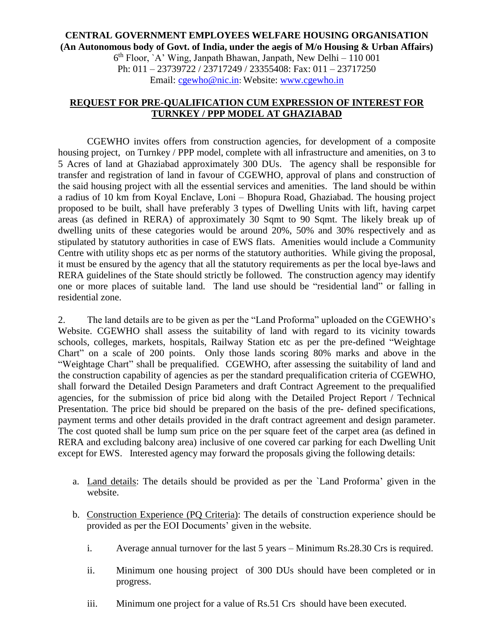## **CENTRAL GOVERNMENT EMPLOYEES WELFARE HOUSING ORGANISATION (An Autonomous body of Govt. of India, under the aegis of M/o Housing & Urban Affairs)**

6 th Floor, `A' Wing, Janpath Bhawan, Janpath, New Delhi – 110 001 Ph: 011 – 23739722 / 23717249 / 23355408: Fax: 011 – 23717250 Email: [cgewho@nic.in](mailto:cgewho@nic.in): Website: [www.cgewho.in](http://www.cgewho.in/)

## **REQUEST FOR PRE-QUALIFICATION CUM EXPRESSION OF INTEREST FOR TURNKEY / PPP MODEL AT GHAZIABAD**

CGEWHO invites offers from construction agencies, for development of a composite housing project, on Turnkey / PPP model, complete with all infrastructure and amenities, on 3 to 5 Acres of land at Ghaziabad approximately 300 DUs. The agency shall be responsible for transfer and registration of land in favour of CGEWHO, approval of plans and construction of the said housing project with all the essential services and amenities. The land should be within a radius of 10 km from Koyal Enclave, Loni – Bhopura Road, Ghaziabad. The housing project proposed to be built, shall have preferably 3 types of Dwelling Units with lift, having carpet areas (as defined in RERA) of approximately 30 Sqmt to 90 Sqmt. The likely break up of dwelling units of these categories would be around 20%, 50% and 30% respectively and as stipulated by statutory authorities in case of EWS flats. Amenities would include a Community Centre with utility shops etc as per norms of the statutory authorities. While giving the proposal, it must be ensured by the agency that all the statutory requirements as per the local bye-laws and RERA guidelines of the State should strictly be followed. The construction agency may identify one or more places of suitable land. The land use should be "residential land" or falling in residential zone.

2. The land details are to be given as per the "Land Proforma" uploaded on the CGEWHO's Website. CGEWHO shall assess the suitability of land with regard to its vicinity towards schools, colleges, markets, hospitals, Railway Station etc as per the pre-defined "Weightage Chart" on a scale of 200 points. Only those lands scoring 80% marks and above in the "Weightage Chart" shall be prequalified. CGEWHO, after assessing the suitability of land and the construction capability of agencies as per the standard prequalification criteria of CGEWHO, shall forward the Detailed Design Parameters and draft Contract Agreement to the prequalified agencies, for the submission of price bid along with the Detailed Project Report / Technical Presentation. The price bid should be prepared on the basis of the pre- defined specifications, payment terms and other details provided in the draft contract agreement and design parameter. The cost quoted shall be lump sum price on the per square feet of the carpet area (as defined in RERA and excluding balcony area) inclusive of one covered car parking for each Dwelling Unit except for EWS. Interested agency may forward the proposals giving the following details:

- a. Land details: The details should be provided as per the `Land Proforma' given in the website.
- b. Construction Experience (PQ Criteria): The details of construction experience should be provided as per the EOI Documents' given in the website.
	- i. Average annual turnover for the last 5 years Minimum Rs.28.30 Crs is required.
	- ii. Minimum one housing project of 300 DUs should have been completed or in progress.
	- iii. Minimum one project for a value of Rs.51 Crs should have been executed.